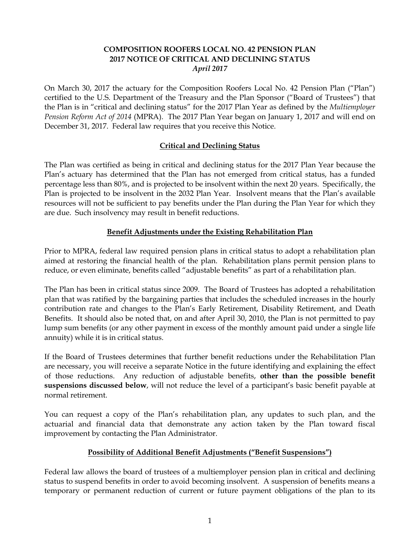## **COMPOSITION ROOFERS LOCAL NO. 42 PENSION PLAN 2017 NOTICE OF CRITICAL AND DECLINING STATUS** *April 2017*

On March 30, 2017 the actuary for the Composition Roofers Local No. 42 Pension Plan ("Plan") certified to the U.S. Department of the Treasury and the Plan Sponsor ("Board of Trustees") that the Plan is in "critical and declining status" for the 2017 Plan Year as defined by the *Multiemployer Pension Reform Act of 2014* (MPRA). The 2017 Plan Year began on January 1, 2017 and will end on December 31, 2017. Federal law requires that you receive this Notice.

# **Critical and Declining Status**

The Plan was certified as being in critical and declining status for the 2017 Plan Year because the Plan's actuary has determined that the Plan has not emerged from critical status, has a funded percentage less than 80%, and is projected to be insolvent within the next 20 years. Specifically, the Plan is projected to be insolvent in the 2032 Plan Year. Insolvent means that the Plan's available resources will not be sufficient to pay benefits under the Plan during the Plan Year for which they are due. Such insolvency may result in benefit reductions.

## **Benefit Adjustments under the Existing Rehabilitation Plan**

Prior to MPRA, federal law required pension plans in critical status to adopt a rehabilitation plan aimed at restoring the financial health of the plan. Rehabilitation plans permit pension plans to reduce, or even eliminate, benefits called "adjustable benefits" as part of a rehabilitation plan.

The Plan has been in critical status since 2009. The Board of Trustees has adopted a rehabilitation plan that was ratified by the bargaining parties that includes the scheduled increases in the hourly contribution rate and changes to the Plan's Early Retirement, Disability Retirement, and Death Benefits. It should also be noted that, on and after April 30, 2010, the Plan is not permitted to pay lump sum benefits (or any other payment in excess of the monthly amount paid under a single life annuity) while it is in critical status.

If the Board of Trustees determines that further benefit reductions under the Rehabilitation Plan are necessary, you will receive a separate Notice in the future identifying and explaining the effect of those reductions. Any reduction of adjustable benefits, **other than the possible benefit suspensions discussed below**, will not reduce the level of a participant's basic benefit payable at normal retirement.

You can request a copy of the Plan's rehabilitation plan, any updates to such plan, and the actuarial and financial data that demonstrate any action taken by the Plan toward fiscal improvement by contacting the Plan Administrator.

## **Possibility of Additional Benefit Adjustments ("Benefit Suspensions")**

Federal law allows the board of trustees of a multiemployer pension plan in critical and declining status to suspend benefits in order to avoid becoming insolvent. A suspension of benefits means a temporary or permanent reduction of current or future payment obligations of the plan to its